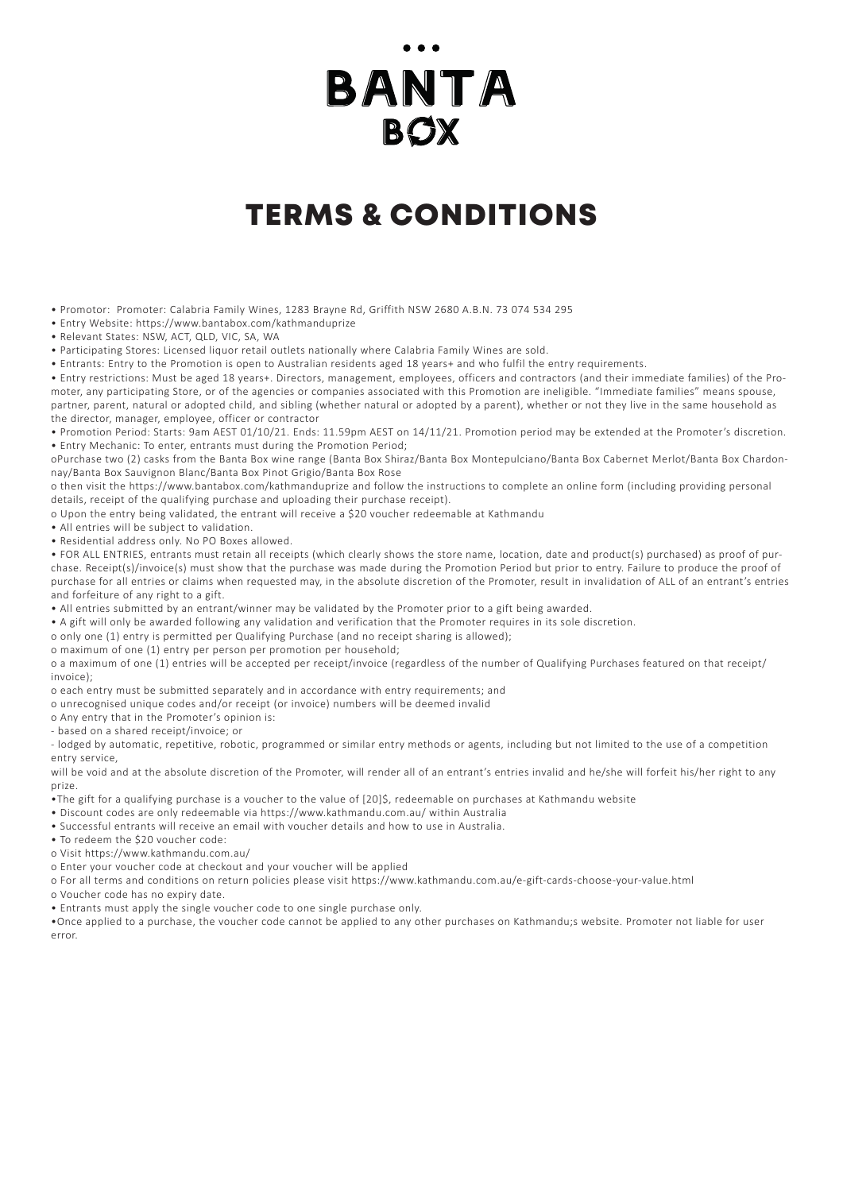# BANTA **BOX**

### TERMS & CONDITIONS

• Promotor: Promoter: Calabria Family Wines, 1283 Brayne Rd, Griffith NSW 2680 A.B.N. 73 074 534 295

• Entry Website: https://www.bantabox.com/kathmanduprize

• Relevant States: NSW, ACT, QLD, VIC, SA, WA

• Participating Stores: Licensed liquor retail outlets nationally where Calabria Family Wines are sold.

• Entrants: Entry to the Promotion is open to Australian residents aged 18 years+ and who fulfil the entry requirements.

• Entry restrictions: Must be aged 18 years+. Directors, management, employees, officers and contractors (and their immediate families) of the Promoter, any participating Store, or of the agencies or companies associated with this Promotion are ineligible. "Immediate families" means spouse, partner, parent, natural or adopted child, and sibling (whether natural or adopted by a parent), whether or not they live in the same household as the director, manager, employee, officer or contractor

• Promotion Period: Starts: 9am AEST 01/10/21. Ends: 11.59pm AEST on 14/11/21. Promotion period may be extended at the Promoter's discretion. • Entry Mechanic: To enter, entrants must during the Promotion Period;

oPurchase two (2) casks from the Banta Box wine range (Banta Box Shiraz/Banta Box Montepulciano/Banta Box Cabernet Merlot/Banta Box Chardonnay/Banta Box Sauvignon Blanc/Banta Box Pinot Grigio/Banta Box Rose

o then visit the https://www.bantabox.com/kathmanduprize and follow the instructions to complete an online form (including providing personal details, receipt of the qualifying purchase and uploading their purchase receipt).

o Upon the entry being validated, the entrant will receive a \$20 voucher redeemable at Kathmandu

• All entries will be subject to validation.

• Residential address only. No PO Boxes allowed.

• FOR ALL ENTRIES, entrants must retain all receipts (which clearly shows the store name, location, date and product(s) purchased) as proof of purchase. Receipt(s)/invoice(s) must show that the purchase was made during the Promotion Period but prior to entry. Failure to produce the proof of purchase for all entries or claims when requested may, in the absolute discretion of the Promoter, result in invalidation of ALL of an entrant's entries and forfeiture of any right to a gift.

• All entries submitted by an entrant/winner may be validated by the Promoter prior to a gift being awarded.

• A gift will only be awarded following any validation and verification that the Promoter requires in its sole discretion.

o only one (1) entry is permitted per Qualifying Purchase (and no receipt sharing is allowed);

o maximum of one (1) entry per person per promotion per household;

o a maximum of one (1) entries will be accepted per receipt/invoice (regardless of the number of Qualifying Purchases featured on that receipt/ invoice);

o each entry must be submitted separately and in accordance with entry requirements; and

o unrecognised unique codes and/or receipt (or invoice) numbers will be deemed invalid

o Any entry that in the Promoter's opinion is:

- based on a shared receipt/invoice; or

- lodged by automatic, repetitive, robotic, programmed or similar entry methods or agents, including but not limited to the use of a competition entry service,

will be void and at the absolute discretion of the Promoter, will render all of an entrant's entries invalid and he/she will forfeit his/her right to any prize.

•The gift for a qualifying purchase is a voucher to the value of [20]\$, redeemable on purchases at Kathmandu website

• Discount codes are only redeemable via https://www.kathmandu.com.au/ within Australia

• Successful entrants will receive an email with voucher details and how to use in Australia.

• To redeem the \$20 voucher code:

o Visit https://www.kathmandu.com.au/

o Enter your voucher code at checkout and your voucher will be applied

o For all terms and conditions on return policies please visit https://www.kathmandu.com.au/e-gift-cards-choose-your-value.html

o Voucher code has no expiry date.

• Entrants must apply the single voucher code to one single purchase only.

•Once applied to a purchase, the voucher code cannot be applied to any other purchases on Kathmandu;s website. Promoter not liable for user error.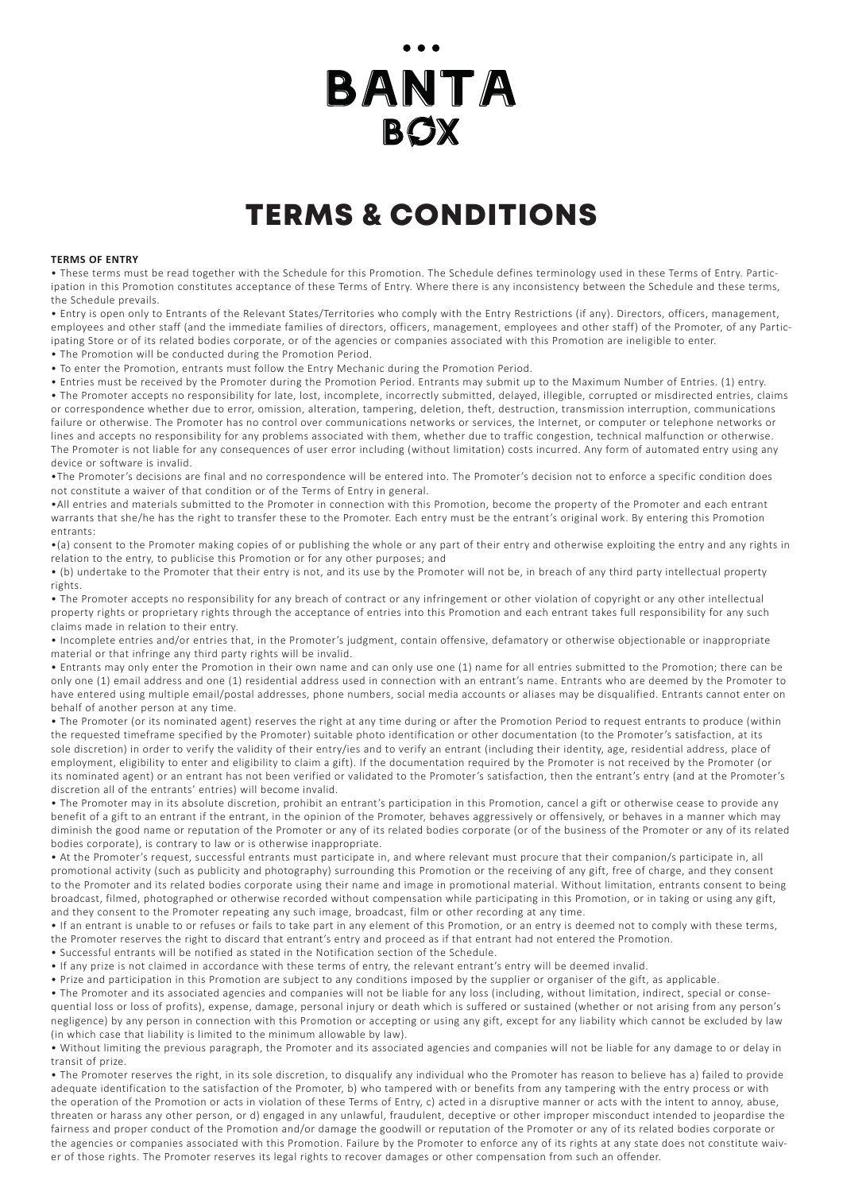## BANTA **BOX**

### TERMS & CONDITIONS

#### **TERMS OF ENTRY**

• These terms must be read together with the Schedule for this Promotion. The Schedule defines terminology used in these Terms of Entry. Participation in this Promotion constitutes acceptance of these Terms of Entry. Where there is any inconsistency between the Schedule and these terms, the Schedule prevails.

• Entry is open only to Entrants of the Relevant States/Territories who comply with the Entry Restrictions (if any). Directors, officers, management, employees and other staff (and the immediate families of directors, officers, management, employees and other staff) of the Promoter, of any Participating Store or of its related bodies corporate, or of the agencies or companies associated with this Promotion are ineligible to enter.

• The Promotion will be conducted during the Promotion Period.

• To enter the Promotion, entrants must follow the Entry Mechanic during the Promotion Period.

• Entries must be received by the Promoter during the Promotion Period. Entrants may submit up to the Maximum Number of Entries. (1) entry. • The Promoter accepts no responsibility for late, lost, incomplete, incorrectly submitted, delayed, illegible, corrupted or misdirected entries, claims or correspondence whether due to error, omission, alteration, tampering, deletion, theft, destruction, transmission interruption, communications failure or otherwise. The Promoter has no control over communications networks or services, the Internet, or computer or telephone networks or lines and accepts no responsibility for any problems associated with them, whether due to traffic congestion, technical malfunction or otherwise. The Promoter is not liable for any consequences of user error including (without limitation) costs incurred. Any form of automated entry using any device or software is invalid.

•The Promoter's decisions are final and no correspondence will be entered into. The Promoter's decision not to enforce a specific condition does not constitute a waiver of that condition or of the Terms of Entry in general.

•All entries and materials submitted to the Promoter in connection with this Promotion, become the property of the Promoter and each entrant warrants that she/he has the right to transfer these to the Promoter. Each entry must be the entrant's original work. By entering this Promotion entrants:

•(a) consent to the Promoter making copies of or publishing the whole or any part of their entry and otherwise exploiting the entry and any rights in relation to the entry, to publicise this Promotion or for any other purposes; and

• (b) undertake to the Promoter that their entry is not, and its use by the Promoter will not be, in breach of any third party intellectual property rights.

• The Promoter accepts no responsibility for any breach of contract or any infringement or other violation of copyright or any other intellectual property rights or proprietary rights through the acceptance of entries into this Promotion and each entrant takes full responsibility for any such claims made in relation to their entry.

• Incomplete entries and/or entries that, in the Promoter's judgment, contain offensive, defamatory or otherwise objectionable or inappropriate material or that infringe any third party rights will be invalid.

• Entrants may only enter the Promotion in their own name and can only use one (1) name for all entries submitted to the Promotion; there can be only one (1) email address and one (1) residential address used in connection with an entrant's name. Entrants who are deemed by the Promoter to have entered using multiple email/postal addresses, phone numbers, social media accounts or aliases may be disqualified. Entrants cannot enter on behalf of another person at any time.

• The Promoter (or its nominated agent) reserves the right at any time during or after the Promotion Period to request entrants to produce (within the requested timeframe specified by the Promoter) suitable photo identification or other documentation (to the Promoter's satisfaction, at its sole discretion) in order to verify the validity of their entry/ies and to verify an entrant (including their identity, age, residential address, place of employment, eligibility to enter and eligibility to claim a gift). If the documentation required by the Promoter is not received by the Promoter (or its nominated agent) or an entrant has not been verified or validated to the Promoter's satisfaction, then the entrant's entry (and at the Promoter's discretion all of the entrants' entries) will become invalid.

• The Promoter may in its absolute discretion, prohibit an entrant's participation in this Promotion, cancel a gift or otherwise cease to provide any benefit of a gift to an entrant if the entrant, in the opinion of the Promoter, behaves aggressively or offensively, or behaves in a manner which may diminish the good name or reputation of the Promoter or any of its related bodies corporate (or of the business of the Promoter or any of its related bodies corporate), is contrary to law or is otherwise inappropriate.

• At the Promoter's request, successful entrants must participate in, and where relevant must procure that their companion/s participate in, all promotional activity (such as publicity and photography) surrounding this Promotion or the receiving of any gift, free of charge, and they consent to the Promoter and its related bodies corporate using their name and image in promotional material. Without limitation, entrants consent to being broadcast, filmed, photographed or otherwise recorded without compensation while participating in this Promotion, or in taking or using any gift, and they consent to the Promoter repeating any such image, broadcast, film or other recording at any time.

• If an entrant is unable to or refuses or fails to take part in any element of this Promotion, or an entry is deemed not to comply with these terms, the Promoter reserves the right to discard that entrant's entry and proceed as if that entrant had not entered the Promotion.

• Successful entrants will be notified as stated in the Notification section of the Schedule.

• If any prize is not claimed in accordance with these terms of entry, the relevant entrant's entry will be deemed invalid.

• Prize and participation in this Promotion are subject to any conditions imposed by the supplier or organiser of the gift, as applicable.

• The Promoter and its associated agencies and companies will not be liable for any loss (including, without limitation, indirect, special or consequential loss or loss of profits), expense, damage, personal injury or death which is suffered or sustained (whether or not arising from any person's negligence) by any person in connection with this Promotion or accepting or using any gift, except for any liability which cannot be excluded by law (in which case that liability is limited to the minimum allowable by law).

• Without limiting the previous paragraph, the Promoter and its associated agencies and companies will not be liable for any damage to or delay in transit of prize.

• The Promoter reserves the right, in its sole discretion, to disqualify any individual who the Promoter has reason to believe has a) failed to provide adequate identification to the satisfaction of the Promoter, b) who tampered with or benefits from any tampering with the entry process or with the operation of the Promotion or acts in violation of these Terms of Entry, c) acted in a disruptive manner or acts with the intent to annoy, abuse, threaten or harass any other person, or d) engaged in any unlawful, fraudulent, deceptive or other improper misconduct intended to jeopardise the fairness and proper conduct of the Promotion and/or damage the goodwill or reputation of the Promoter or any of its related bodies corporate or the agencies or companies associated with this Promotion. Failure by the Promoter to enforce any of its rights at any state does not constitute waiver of those rights. The Promoter reserves its legal rights to recover damages or other compensation from such an offender.